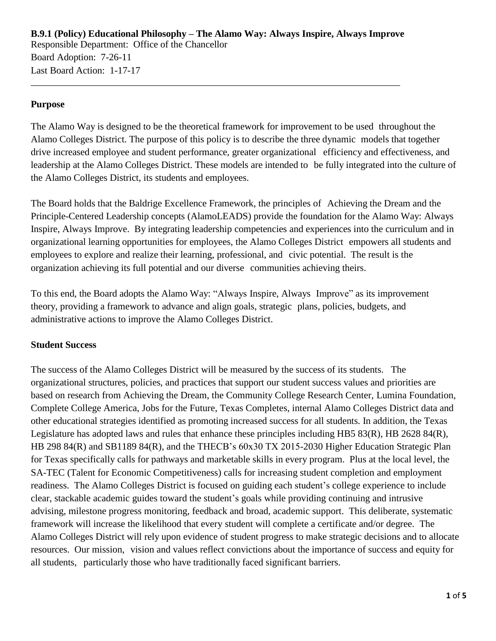**B.9.1 (Policy) Educational Philosophy – The Alamo Way: Always Inspire, Always Improve** Responsible Department: Office of the Chancellor Board Adoption: 7-26-11 Last Board Action: 1-17-17

\_\_\_\_\_\_\_\_\_\_\_\_\_\_\_\_\_\_\_\_\_\_\_\_\_\_\_\_\_\_\_\_\_\_\_\_\_\_\_\_\_\_\_\_\_\_\_\_\_\_\_\_\_\_\_\_\_\_\_\_\_\_\_\_\_\_\_\_\_\_\_\_\_\_\_\_

#### **Purpose**

The Alamo Way is designed to be the theoretical framework for improvement to be used throughout the Alamo Colleges District. The purpose of this policy is to describe the three dynamic models that together drive increased employee and student performance, greater organizational efficiency and effectiveness, and leadership at the Alamo Colleges District. These models are intended to be fully integrated into the culture of the Alamo Colleges District, its students and employees.

The Board holds that the Baldrige Excellence Framework, the principles of Achieving the Dream and the Principle-Centered Leadership concepts (AlamoLEADS) provide the foundation for the Alamo Way: Always Inspire, Always Improve. By integrating leadership competencies and experiences into the curriculum and in organizational learning opportunities for employees, the Alamo Colleges District empowers all students and employees to explore and realize their learning, professional, and civic potential. The result is the organization achieving its full potential and our diverse communities achieving theirs.

To this end, the Board adopts the Alamo Way: "Always Inspire, Always Improve" as its improvement theory, providing a framework to advance and align goals, strategic plans, policies, budgets, and administrative actions to improve the Alamo Colleges District.

#### **Student Success**

The success of the Alamo Colleges District will be measured by the success of its students. The organizational structures, policies, and practices that support our student success values and priorities are based on research from Achieving the Dream, the Community College Research Center, Lumina Foundation, Complete College America, Jobs for the Future, Texas Completes, internal Alamo Colleges District data and other educational strategies identified as promoting increased success for all students. In addition, the Texas Legislature has adopted laws and rules that enhance these principles including HB5 83(R), HB 2628 84(R), HB 298 84(R) and SB1189 84(R), and the THECB's 60x30 TX 2015-2030 Higher Education Strategic Plan for Texas specifically calls for pathways and marketable skills in every program. Plus at the local level, the SA-TEC (Talent for Economic Competitiveness) calls for increasing student completion and employment readiness. The Alamo Colleges District is focused on guiding each student's college experience to include clear, stackable academic guides toward the student's goals while providing continuing and intrusive advising, milestone progress monitoring, feedback and broad, academic support. This deliberate, systematic framework will increase the likelihood that every student will complete a certificate and/or degree. The Alamo Colleges District will rely upon evidence of student progress to make strategic decisions and to allocate resources. Our mission, vision and values reflect convictions about the importance of success and equity for all students, particularly those who have traditionally faced significant barriers.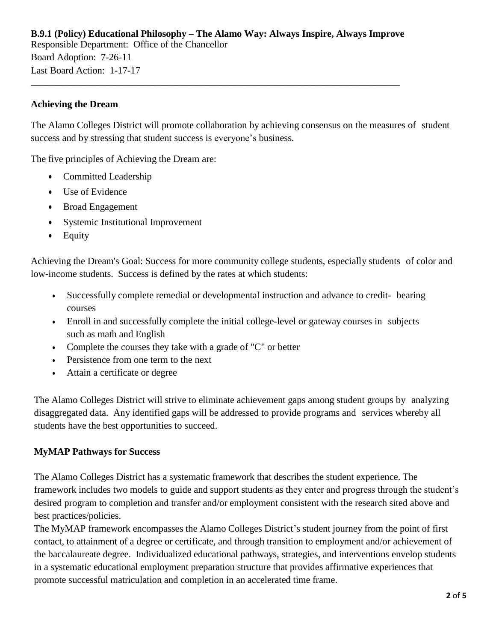# **B.9.1 (Policy) Educational Philosophy – The Alamo Way: Always Inspire, Always Improve** Responsible Department: Office of the Chancellor Board Adoption: 7-26-11 Last Board Action: 1-17-17

\_\_\_\_\_\_\_\_\_\_\_\_\_\_\_\_\_\_\_\_\_\_\_\_\_\_\_\_\_\_\_\_\_\_\_\_\_\_\_\_\_\_\_\_\_\_\_\_\_\_\_\_\_\_\_\_\_\_\_\_\_\_\_\_\_\_\_\_\_\_\_\_\_\_\_\_

## **Achieving the Dream**

The Alamo Colleges District will promote collaboration by achieving consensus on the measures of student success and by stressing that student success is everyone's business.

The five principles of Achieving the Dream are:

- Committed Leadership
- Use of Evidence
- Broad Engagement
- Systemic Institutional Improvement
- Equity

Achieving the Dream's Goal: Success for more community college students, especially students of color and low-income students. Success is defined by the rates at which students:

- Successfully complete remedial or developmental instruction and advance to credit- bearing courses
- Enroll in and successfully complete the initial college-level or gateway courses in subjects such as math and English
- Complete the courses they take with a grade of "C" or better
- Persistence from one term to the next
- Attain a certificate or degree

The Alamo Colleges District will strive to eliminate achievement gaps among student groups by analyzing disaggregated data. Any identified gaps will be addressed to provide programs and services whereby all students have the best opportunities to succeed.

### **MyMAP Pathways for Success**

The Alamo Colleges District has a systematic framework that describes the student experience. The framework includes two models to guide and support students as they enter and progress through the student's desired program to completion and transfer and/or employment consistent with the research sited above and best practices/policies.

The MyMAP framework encompasses the Alamo Colleges District's student journey from the point of first contact, to attainment of a degree or certificate, and through transition to employment and/or achievement of the baccalaureate degree. Individualized educational pathways, strategies, and interventions envelop students in a systematic educational employment preparation structure that provides affirmative experiences that promote successful matriculation and completion in an accelerated time frame.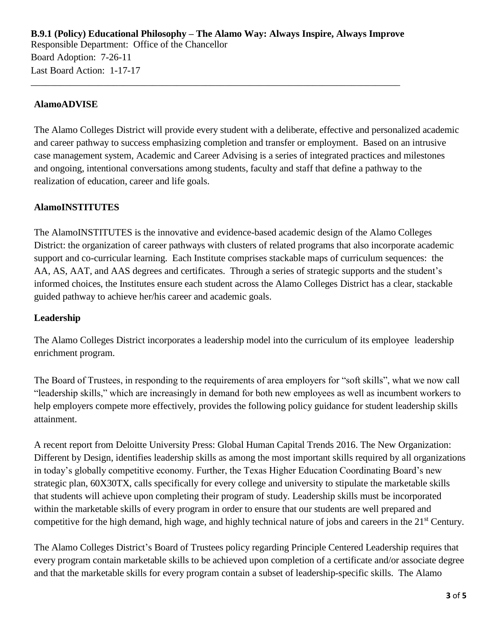**B.9.1 (Policy) Educational Philosophy – The Alamo Way: Always Inspire, Always Improve** Responsible Department: Office of the Chancellor Board Adoption: 7-26-11 Last Board Action: 1-17-17

\_\_\_\_\_\_\_\_\_\_\_\_\_\_\_\_\_\_\_\_\_\_\_\_\_\_\_\_\_\_\_\_\_\_\_\_\_\_\_\_\_\_\_\_\_\_\_\_\_\_\_\_\_\_\_\_\_\_\_\_\_\_\_\_\_\_\_\_\_\_\_\_\_\_\_\_

## **AlamoADVISE**

The Alamo Colleges District will provide every student with a deliberate, effective and personalized academic and career pathway to success emphasizing completion and transfer or employment. Based on an intrusive case management system, Academic and Career Advising is a series of integrated practices and milestones and ongoing, intentional conversations among students, faculty and staff that define a pathway to the realization of education, career and life goals.

# **AlamoINSTITUTES**

The AlamoINSTITUTES is the innovative and evidence-based academic design of the Alamo Colleges District: the organization of career pathways with clusters of related programs that also incorporate academic support and co-curricular learning. Each Institute comprises stackable maps of curriculum sequences: the AA, AS, AAT, and AAS degrees and certificates. Through a series of strategic supports and the student's informed choices, the Institutes ensure each student across the Alamo Colleges District has a clear, stackable guided pathway to achieve her/his career and academic goals.

#### **Leadership**

The Alamo Colleges District incorporates a leadership model into the curriculum of its employee leadership enrichment program.

The Board of Trustees, in responding to the requirements of area employers for "soft skills", what we now call "leadership skills," which are increasingly in demand for both new employees as well as incumbent workers to help employers compete more effectively, provides the following policy guidance for student leadership skills attainment.

A recent report from Deloitte University Press: Global Human Capital Trends 2016. The New Organization: Different by Design, identifies leadership skills as among the most important skills required by all organizations in today's globally competitive economy. Further, the Texas Higher Education Coordinating Board's new strategic plan, 60X30TX, calls specifically for every college and university to stipulate the marketable skills that students will achieve upon completing their program of study. Leadership skills must be incorporated within the marketable skills of every program in order to ensure that our students are well prepared and competitive for the high demand, high wage, and highly technical nature of jobs and careers in the 21<sup>st</sup> Century.

The Alamo Colleges District's Board of Trustees policy regarding Principle Centered Leadership requires that every program contain marketable skills to be achieved upon completion of a certificate and/or associate degree and that the marketable skills for every program contain a subset of leadership-specific skills. The Alamo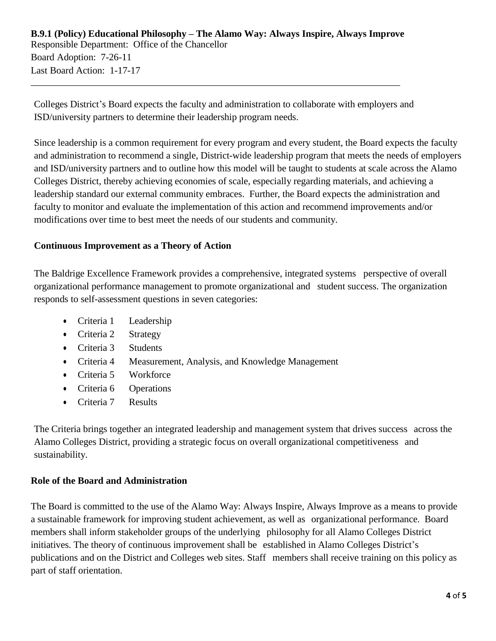\_\_\_\_\_\_\_\_\_\_\_\_\_\_\_\_\_\_\_\_\_\_\_\_\_\_\_\_\_\_\_\_\_\_\_\_\_\_\_\_\_\_\_\_\_\_\_\_\_\_\_\_\_\_\_\_\_\_\_\_\_\_\_\_\_\_\_\_\_\_\_\_\_\_\_\_

Colleges District's Board expects the faculty and administration to collaborate with employers and ISD/university partners to determine their leadership program needs.

Since leadership is a common requirement for every program and every student, the Board expects the faculty and administration to recommend a single, District-wide leadership program that meets the needs of employers and ISD/university partners and to outline how this model will be taught to students at scale across the Alamo Colleges District, thereby achieving economies of scale, especially regarding materials, and achieving a leadership standard our external community embraces. Further, the Board expects the administration and faculty to monitor and evaluate the implementation of this action and recommend improvements and/or modifications over time to best meet the needs of our students and community.

# **Continuous Improvement as a Theory of Action**

The Baldrige Excellence Framework provides a comprehensive, integrated systems perspective of overall organizational performance management to promote organizational and student success. The organization responds to self-assessment questions in seven categories:

- Criteria 1 Leadership
- Criteria 2 Strategy
- Criteria 3 Students
- Criteria 4 Measurement, Analysis, and Knowledge Management
- Criteria 5 Workforce
- Criteria 6 Operations
- Criteria 7 Results

The Criteria brings together an integrated leadership and management system that drives success across the Alamo Colleges District, providing a strategic focus on overall organizational competitiveness and sustainability.

### **Role of the Board and Administration**

The Board is committed to the use of the Alamo Way: Always Inspire, Always Improve as a means to provide a sustainable framework for improving student achievement, as well as organizational performance. Board members shall inform stakeholder groups of the underlying philosophy for all Alamo Colleges District initiatives. The theory of continuous improvement shall be established in Alamo Colleges District's publications and on the District and Colleges web sites. Staff members shall receive training on this policy as part of staff orientation.